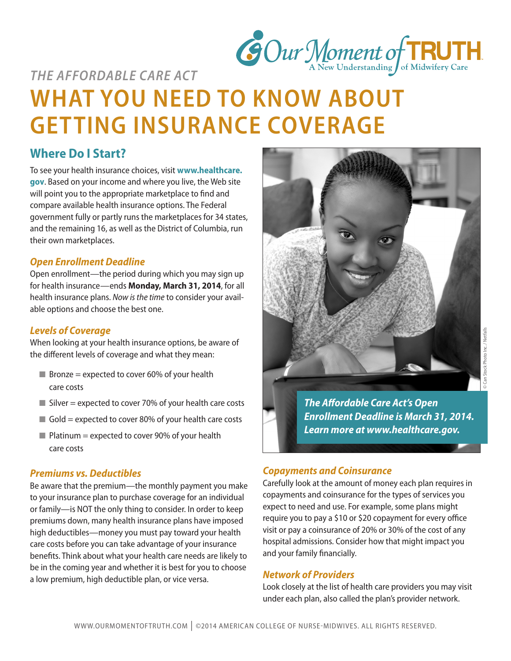

# *THE AFFORDABLE CARE ACT* **WHAT YOU NEED TO KNOW ABOUT GETTING INSURANCE COVERAGE**

# **Where Do I Start?**

To see your health insurance choices, visit **www.healthcare. gov**. Based on your income and where you live, the Web site will point you to the appropriate marketplace to find and compare available health insurance options. The Federal government fully or partly runs the marketplaces for 34 states, and the remaining 16, as well as the District of Columbia, run their own marketplaces.

## *Open Enrollment Deadline*

Open enrollment—the period during which you may sign up for health insurance—ends **Monday, March 31, 2014**, for all health insurance plans. *Now is the time* to consider your available options and choose the best one.

#### *Levels of Coverage*

When looking at your health insurance options, be aware of the different levels of coverage and what they mean:

- $\blacksquare$  Bronze = expected to cover 60% of your health care costs
- $\blacksquare$  Silver = expected to cover 70% of your health care costs
- $\Box$  Gold = expected to cover 80% of your health care costs
- $\blacksquare$  Platinum = expected to cover 90% of your health care costs

#### *Premiums vs. Deductibles*

Be aware that the premium—the monthly payment you make to your insurance plan to purchase coverage for an individual or family—is NOT the only thing to consider. In order to keep premiums down, many health insurance plans have imposed high deductibles—money you must pay toward your health care costs before you can take advantage of your insurance benefits. Think about what your health care needs are likely to be in the coming year and whether it is best for you to choose a low premium, high deductible plan, or vice versa.



*The Affordable Care Act's Open Enrollment Deadline is March 31, 2014. Learn more at www.healthcare.gov.*

## *Copayments and Coinsurance*

Carefully look at the amount of money each plan requires in copayments and coinsurance for the types of services you expect to need and use. For example, some plans might require you to pay a \$10 or \$20 copayment for every office visit or pay a coinsurance of 20% or 30% of the cost of any hospital admissions. Consider how that might impact you and your family financially.

## *Network of Providers*

Look closely at the list of health care providers you may visit under each plan, also called the plan's provider network.